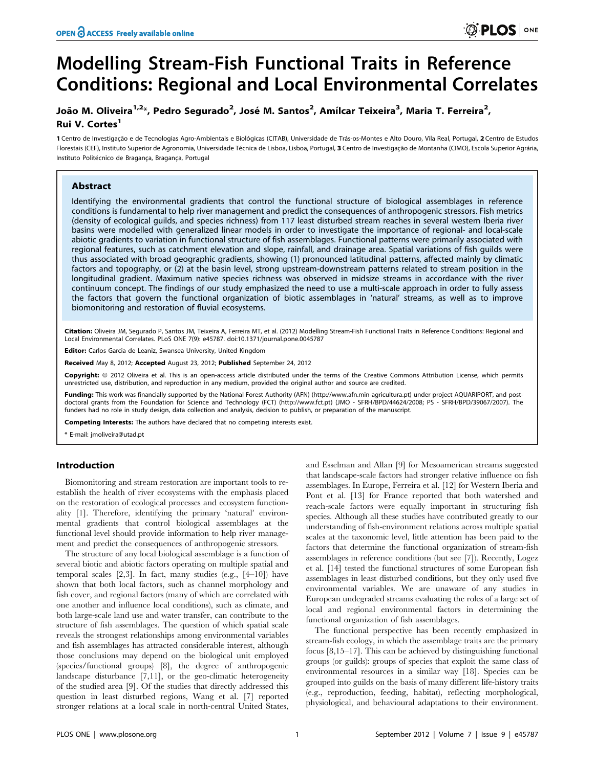# João M. Oliveira<sup>1,2</sup>\*, Pedro Segurado<sup>2</sup>, José M. Santos<sup>2</sup>, Amílcar Teixeira<sup>3</sup>, Maria T. Ferreira<sup>2</sup>, Rui V. Cortes<sup>1</sup>

1 Centro de Investigação e de Tecnologias Agro-Ambientais e Biológicas (CITAB), Universidade de Trás-os-Montes e Alto Douro, Vila Real, Portugal, 2 Centro de Estudos Florestais (CEF), Instituto Superior de Agronomia, Universidade Técnica de Lisboa, Lisboa, Portugal, 3 Centro de Investigação de Montanha (CIMO), Escola Superior Agrária, Instituto Politécnico de Bragança, Bragança, Portugal

# Abstract

Identifying the environmental gradients that control the functional structure of biological assemblages in reference conditions is fundamental to help river management and predict the consequences of anthropogenic stressors. Fish metrics (density of ecological guilds, and species richness) from 117 least disturbed stream reaches in several western Iberia river basins were modelled with generalized linear models in order to investigate the importance of regional- and local-scale abiotic gradients to variation in functional structure of fish assemblages. Functional patterns were primarily associated with regional features, such as catchment elevation and slope, rainfall, and drainage area. Spatial variations of fish guilds were thus associated with broad geographic gradients, showing (1) pronounced latitudinal patterns, affected mainly by climatic factors and topography, or (2) at the basin level, strong upstream-downstream patterns related to stream position in the longitudinal gradient. Maximum native species richness was observed in midsize streams in accordance with the river continuum concept. The findings of our study emphasized the need to use a multi-scale approach in order to fully assess the factors that govern the functional organization of biotic assemblages in 'natural' streams, as well as to improve biomonitoring and restoration of fluvial ecosystems.

Citation: Oliveira JM, Segurado P, Santos JM, Teixeira A, Ferreira MT, et al. (2012) Modelling Stream-Fish Functional Traits in Reference Conditions: Regional and Local Environmental Correlates. PLoS ONE 7(9): e45787. doi:10.1371/journal.pone.0045787

Editor: Carlos Garcia de Leaniz, Swansea University, United Kingdom

Received May 8, 2012; Accepted August 23, 2012; Published September 24, 2012

Copyright: © 2012 Oliveira et al. This is an open-access article distributed under the terms of the Creative Commons Attribution License, which permits unrestricted use, distribution, and reproduction in any medium, provided the original author and source are credited.

Funding: This work was financially supported by the National Forest Authority (AFN) (http://www.afn.min-agricultura.pt) under project AQUARIPORT, and postdoctoral grants from the Foundation for Science and Technology (FCT) (http://www.fct.pt) (JMO - SFRH/BPD/44624/2008; PS - SFRH/BPD/39067/2007). The funders had no role in study design, data collection and analysis, decision to publish, or preparation of the manuscript.

Competing Interests: The authors have declared that no competing interests exist.

\* E-mail: jmoliveira@utad.pt

## Introduction

Biomonitoring and stream restoration are important tools to reestablish the health of river ecosystems with the emphasis placed on the restoration of ecological processes and ecosystem functionality [1]. Therefore, identifying the primary 'natural' environmental gradients that control biological assemblages at the functional level should provide information to help river management and predict the consequences of anthropogenic stressors.

The structure of any local biological assemblage is a function of several biotic and abiotic factors operating on multiple spatial and temporal scales [2,3]. In fact, many studies (e.g., [4–10]) have shown that both local factors, such as channel morphology and fish cover, and regional factors (many of which are correlated with one another and influence local conditions), such as climate, and both large-scale land use and water transfer, can contribute to the structure of fish assemblages. The question of which spatial scale reveals the strongest relationships among environmental variables and fish assemblages has attracted considerable interest, although those conclusions may depend on the biological unit employed (species/functional groups) [8], the degree of anthropogenic landscape disturbance [7,11], or the geo-climatic heterogeneity of the studied area [9]. Of the studies that directly addressed this question in least disturbed regions, Wang et al. [7] reported stronger relations at a local scale in north-central United States,

and Esselman and Allan [9] for Mesoamerican streams suggested that landscape-scale factors had stronger relative influence on fish assemblages. In Europe, Ferreira et al. [12] for Western Iberia and Pont et al. [13] for France reported that both watershed and reach-scale factors were equally important in structuring fish species. Although all these studies have contributed greatly to our understanding of fish-environment relations across multiple spatial scales at the taxonomic level, little attention has been paid to the factors that determine the functional organization of stream-fish assemblages in reference conditions (but see [7]). Recently, Logez et al. [14] tested the functional structures of some European fish assemblages in least disturbed conditions, but they only used five environmental variables. We are unaware of any studies in European undegraded streams evaluating the roles of a large set of local and regional environmental factors in determining the functional organization of fish assemblages.

**DIPLOS** ONE

The functional perspective has been recently emphasized in stream-fish ecology, in which the assemblage traits are the primary focus [8,15–17]. This can be achieved by distinguishing functional groups (or guilds): groups of species that exploit the same class of environmental resources in a similar way [18]. Species can be grouped into guilds on the basis of many different life-history traits (e.g., reproduction, feeding, habitat), reflecting morphological, physiological, and behavioural adaptations to their environment.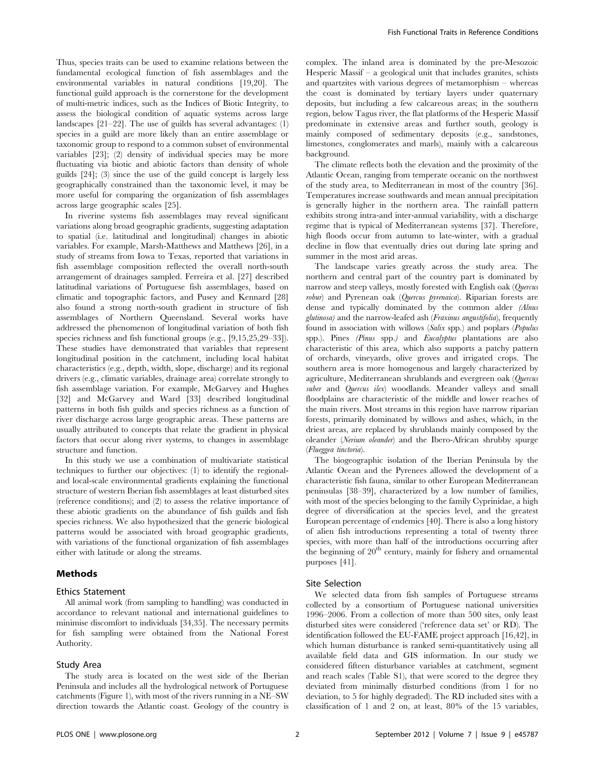Thus, species traits can be used to examine relations between the fundamental ecological function of fish assemblages and the environmental variables in natural conditions [19,20]. The functional guild approach is the cornerstone for the development of multi-metric indices, such as the Indices of Biotic Integrity, to assess the biological condition of aquatic systems across large landscapes [21–22]. The use of guilds has several advantages: (1) species in a guild are more likely than an entire assemblage or taxonomic group to respond to a common subset of environmental variables [23]; (2) density of individual species may be more fluctuating via biotic and abiotic factors than density of whole guilds [24]; (3) since the use of the guild concept is largely less geographically constrained than the taxonomic level, it may be more useful for comparing the organization of fish assemblages across large geographic scales [25].

In riverine systems fish assemblages may reveal significant variations along broad geographic gradients, suggesting adaptation to spatial (i.e. latitudinal and longitudinal) changes in abiotic variables. For example, Marsh-Matthews and Matthews [26], in a study of streams from Iowa to Texas, reported that variations in fish assemblage composition reflected the overall north-south arrangement of drainages sampled. Ferreira et al. [27] described latitudinal variations of Portuguese fish assemblages, based on climatic and topographic factors, and Pusey and Kennard [28] also found a strong north-south gradient in structure of fish assemblages of Northern Queensland. Several works have addressed the phenomenon of longitudinal variation of both fish species richness and fish functional groups (e.g., [9,15,25,29–33]). These studies have demonstrated that variables that represent longitudinal position in the catchment, including local habitat characteristics (e.g., depth, width, slope, discharge) and its regional drivers (e.g., climatic variables, drainage area) correlate strongly to fish assemblage variation. For example, McGarvey and Hughes [32] and McGarvey and Ward [33] described longitudinal patterns in both fish guilds and species richness as a function of river discharge across large geographic areas. These patterns are usually attributed to concepts that relate the gradient in physical factors that occur along river systems, to changes in assemblage structure and function.

In this study we use a combination of multivariate statistical techniques to further our objectives: (1) to identify the regionaland local-scale environmental gradients explaining the functional structure of western Iberian fish assemblages at least disturbed sites (reference conditions); and (2) to assess the relative importance of these abiotic gradients on the abundance of fish guilds and fish species richness. We also hypothesized that the generic biological patterns would be associated with broad geographic gradients, with variations of the functional organization of fish assemblages either with latitude or along the streams.

## Methods

#### Ethics Statement

All animal work (from sampling to handling) was conducted in accordance to relevant national and international guidelines to minimise discomfort to individuals [34,35]. The necessary permits for fish sampling were obtained from the National Forest Authority.

# Study Area

The study area is located on the west side of the Iberian Peninsula and includes all the hydrological network of Portuguese catchments (Figure 1), with most of the rivers running in a NE–SW direction towards the Atlantic coast. Geology of the country is

complex. The inland area is dominated by the pre-Mesozoic Hesperic Massif – a geological unit that includes granites, schists and quartzites with various degrees of metamorphism – whereas the coast is dominated by tertiary layers under quaternary deposits, but including a few calcareous areas; in the southern region, below Tagus river, the flat platforms of the Hesperic Massif predominate in extensive areas and further south, geology is mainly composed of sedimentary deposits (e.g., sandstones, limestones, conglomerates and marls), mainly with a calcareous background.

The climate reflects both the elevation and the proximity of the Atlantic Ocean, ranging from temperate oceanic on the northwest of the study area, to Mediterranean in most of the country [36]. Temperatures increase southwards and mean annual precipitation is generally higher in the northern area. The rainfall pattern exhibits strong intra-and inter-annual variability, with a discharge regime that is typical of Mediterranean systems [37]. Therefore, high floods occur from autumn to late-winter, with a gradual decline in flow that eventually dries out during late spring and summer in the most arid areas.

The landscape varies greatly across the study area. The northern and central part of the country part is dominated by narrow and steep valleys, mostly forested with English oak (Quercus robur) and Pyrenean oak (Quercus pyrenaica). Riparian forests are dense and typically dominated by the common alder (Alnus glutinosa) and the narrow-leafed ash (Fraxinus angustifolia), frequently found in association with willows (Salix spp.) and poplars (Populus spp.). Pines (Pinus spp.) and Eucalyptus plantations are also characteristic of this area, which also supports a patchy pattern of orchards, vineyards, olive groves and irrigated crops. The southern area is more homogenous and largely characterized by agriculture, Mediterranean shrublands and evergreen oak (Quercus suber and *Ouercus ilex*) woodlands. Meander valleys and small floodplains are characteristic of the middle and lower reaches of the main rivers. Most streams in this region have narrow riparian forests, primarily dominated by willows and ashes, which, in the driest areas, are replaced by shrublands mainly composed by the oleander (Nerium oleander) and the Ibero-African shrubby spurge (Flueggea tinctoria).

The biogeographic isolation of the Iberian Peninsula by the Atlantic Ocean and the Pyrenees allowed the development of a characteristic fish fauna, similar to other European Mediterranean peninsulas [38–39], characterized by a low number of families, with most of the species belonging to the family Cyprinidae, a high degree of diversification at the species level, and the greatest European percentage of endemics [40]. There is also a long history of alien fish introductions representing a total of twenty three species, with more than half of the introductions occurring after the beginning of  $20<sup>th</sup>$  century, mainly for fishery and ornamental purposes [41].

## Site Selection

We selected data from fish samples of Portuguese streams collected by a consortium of Portuguese national universities 1996–2006. From a collection of more than 500 sites, only least disturbed sites were considered ('reference data set' or RD). The identification followed the EU-FAME project approach [16,42], in which human disturbance is ranked semi-quantitatively using all available field data and GIS information. In our study we considered fifteen disturbance variables at catchment, segment and reach scales (Table S1), that were scored to the degree they deviated from minimally disturbed conditions (from 1 for no deviation, to 5 for highly degraded). The RD included sites with a classification of 1 and 2 on, at least, 80% of the 15 variables,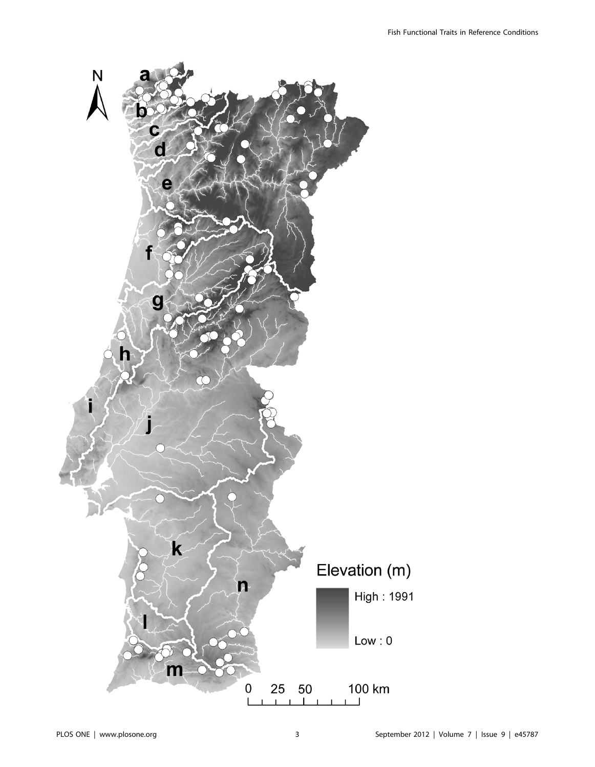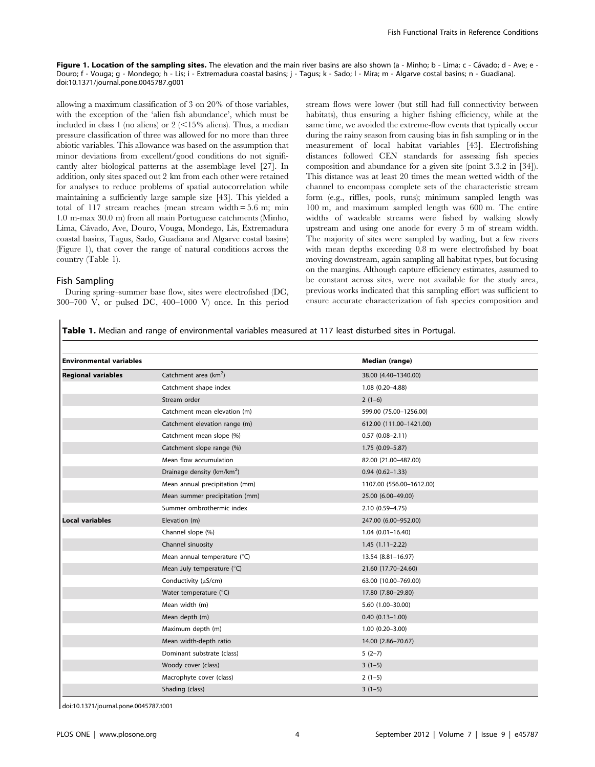Figure 1. Location of the sampling sites. The elevation and the main river basins are also shown (a - Minho; b - Lima; c - Cávado; d - Ave; e -Douro; f - Vouga; g - Mondego; h - Lis; i - Extremadura coastal basins; j - Tagus; k - Sado; l - Mira; m - Algarve costal basins; n - Guadiana). doi:10.1371/journal.pone.0045787.g001

allowing a maximum classification of 3 on 20% of those variables, with the exception of the 'alien fish abundance', which must be included in class 1 (no aliens) or  $2$  ( $\leq$ 15% aliens). Thus, a median pressure classification of three was allowed for no more than three abiotic variables. This allowance was based on the assumption that minor deviations from excellent/good conditions do not significantly alter biological patterns at the assemblage level [27]. In addition, only sites spaced out 2 km from each other were retained for analyses to reduce problems of spatial autocorrelation while maintaining a sufficiently large sample size [43]. This yielded a total of 117 stream reaches (mean stream width = 5.6 m; min 1.0 m-max 30.0 m) from all main Portuguese catchments (Minho, Lima, Cávado, Ave, Douro, Vouga, Mondego, Lis, Extremadura coastal basins, Tagus, Sado, Guadiana and Algarve costal basins) (Figure 1), that cover the range of natural conditions across the country (Table 1).

### Fish Sampling

During spring–summer base flow, sites were electrofished (DC, 300–700 V, or pulsed DC, 400–1000 V) once. In this period stream flows were lower (but still had full connectivity between habitats), thus ensuring a higher fishing efficiency, while at the same time, we avoided the extreme-flow events that typically occur during the rainy season from causing bias in fish sampling or in the measurement of local habitat variables [43]. Electrofishing distances followed CEN standards for assessing fish species composition and abundance for a given site (point 3.3.2 in [34]). This distance was at least 20 times the mean wetted width of the channel to encompass complete sets of the characteristic stream form (e.g., riffles, pools, runs); minimum sampled length was 100 m, and maximum sampled length was 600 m. The entire widths of wadeable streams were fished by walking slowly upstream and using one anode for every 5 m of stream width. The majority of sites were sampled by wading, but a few rivers with mean depths exceeding 0.8 m were electrofished by boat moving downstream, again sampling all habitat types, but focusing on the margins. Although capture efficiency estimates, assumed to be constant across sites, were not available for the study area, previous works indicated that this sampling effort was sufficient to ensure accurate characterization of fish species composition and

Table 1. Median and range of environmental variables measured at 117 least disturbed sites in Portugal.

| <b>Environmental variables</b> |                                        | Median (range)           |
|--------------------------------|----------------------------------------|--------------------------|
| <b>Regional variables</b>      | Catchment area (km <sup>2</sup> )      | 38.00 (4.40-1340.00)     |
|                                | Catchment shape index                  | $1.08(0.20 - 4.88)$      |
|                                | Stream order                           | $2(1-6)$                 |
|                                | Catchment mean elevation (m)           | 599.00 (75.00-1256.00)   |
|                                | Catchment elevation range (m)          | 612.00 (111.00-1421.00)  |
|                                | Catchment mean slope (%)               | $0.57(0.08 - 2.11)$      |
|                                | Catchment slope range (%)              | $1.75(0.09 - 5.87)$      |
|                                | Mean flow accumulation                 | 82.00 (21.00-487.00)     |
|                                | Drainage density (km/km <sup>2</sup> ) | $0.94(0.62 - 1.33)$      |
|                                | Mean annual precipitation (mm)         | 1107.00 (556.00-1612.00) |
|                                | Mean summer precipitation (mm)         | 25.00 (6.00-49.00)       |
|                                | Summer ombrothermic index              | 2.10 (0.59-4.75)         |
| <b>Local variables</b>         | Elevation (m)                          | 247.00 (6.00-952.00)     |
|                                | Channel slope (%)                      | $1.04(0.01 - 16.40)$     |
|                                | Channel sinuosity                      | $1.45(1.11 - 2.22)$      |
|                                | Mean annual temperature (°C)           | 13.54 (8.81-16.97)       |
|                                | Mean July temperature (°C)             | 21.60 (17.70-24.60)      |
|                                | Conductivity (µS/cm)                   | 63.00 (10.00-769.00)     |
|                                | Water temperature (°C)                 | 17.80 (7.80-29.80)       |
|                                | Mean width (m)                         | 5.60 (1.00-30.00)        |
|                                | Mean depth (m)                         | $0.40(0.13 - 1.00)$      |
|                                | Maximum depth (m)                      | $1.00(0.20 - 3.00)$      |
|                                | Mean width-depth ratio                 | 14.00 (2.86-70.67)       |
|                                | Dominant substrate (class)             | $5(2-7)$                 |
|                                | Woody cover (class)                    | $3(1-5)$                 |
|                                | Macrophyte cover (class)               | $2(1-5)$                 |
|                                | Shading (class)                        | $3(1-5)$                 |

doi:10.1371/journal.pone.0045787.t001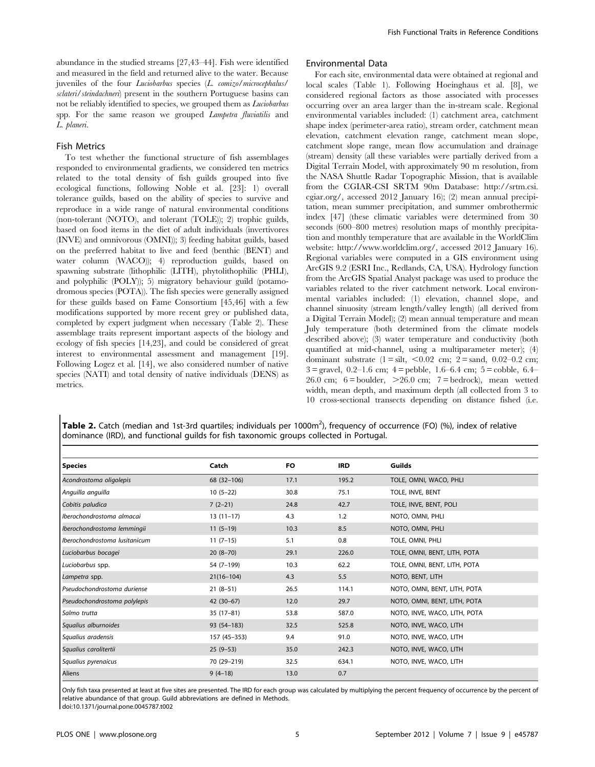abundance in the studied streams [27,43–44]. Fish were identified and measured in the field and returned alive to the water. Because juveniles of the four Luciobarbus species (L. comizo/microcephalus/ sclateri/steindachneri) present in the southern Portuguese basins can not be reliably identified to species, we grouped them as Luciobarbus spp. For the same reason we grouped *Lampetra fluviatilis* and L. planeri.

### Fish Metrics

To test whether the functional structure of fish assemblages responded to environmental gradients, we considered ten metrics related to the total density of fish guilds grouped into five ecological functions, following Noble et al. [23]: 1) overall tolerance guilds, based on the ability of species to survive and reproduce in a wide range of natural environmental conditions (non-tolerant (NOTO), and tolerant (TOLE)); 2) trophic guilds, based on food items in the diet of adult individuals (invertivores (INVE) and omnivorous (OMNI)); 3) feeding habitat guilds, based on the preferred habitat to live and feed (benthic (BENT) and water column (WACO)); 4) reproduction guilds, based on spawning substrate (lithophilic (LITH), phytolithophilic (PHLI), and polyphilic (POLY)); 5) migratory behaviour guild (potamodromous species (POTA)). The fish species were generally assigned for these guilds based on Fame Consortium [45,46] with a few modifications supported by more recent grey or published data, completed by expert judgment when necessary (Table 2). These assemblage traits represent important aspects of the biology and ecology of fish species [14,23], and could be considered of great interest to environmental assessment and management [19]. Following Logez et al. [14], we also considered number of native species (NATI) and total density of native individuals (DENS) as metrics.

#### Environmental Data

For each site, environmental data were obtained at regional and local scales (Table 1). Following Hoeinghaus et al. [8], we considered regional factors as those associated with processes occurring over an area larger than the in-stream scale. Regional environmental variables included: (1) catchment area, catchment shape index (perimeter-area ratio), stream order, catchment mean elevation, catchment elevation range, catchment mean slope, catchment slope range, mean flow accumulation and drainage (stream) density (all these variables were partially derived from a Digital Terrain Model, with approximately 90 m resolution, from the NASA Shuttle Radar Topographic Mission, that is available from the CGIAR-CSI SRTM 90m Database: http://srtm.csi. cgiar.org/, accessed 2012 January 16); (2) mean annual precipitation, mean summer precipitation, and summer ombrothermic index [47] (these climatic variables were determined from 30 seconds (600–800 metres) resolution maps of monthly precipitation and monthly temperature that are available in the WorldClim website: http://www.worldclim.org/, accessed 2012 January 16). Regional variables were computed in a GIS environment using ArcGIS 9.2 (ESRI Inc., Redlands, CA, USA). Hydrology function from the ArcGIS Spatial Analyst package was used to produce the variables related to the river catchment network. Local environmental variables included: (1) elevation, channel slope, and channel sinuosity (stream length/valley length) (all derived from a Digital Terrain Model); (2) mean annual temperature and mean July temperature (both determined from the climate models described above); (3) water temperature and conductivity (both quantified at mid-channel, using a multiparameter meter); (4) dominant substrate  $(1 =$  silt,  $\leq 0.02$  cm;  $2 =$  sand, 0.02–0.2 cm;  $3 =$  gravel, 0.2–1.6 cm;  $4 =$  pebble, 1.6–6.4 cm;  $5 =$  cobble, 6.4– 26.0 cm;  $6 = \text{boulder}$ ,  $>26.0$  cm;  $7 = \text{bedrock}$ , mean wetted width, mean depth, and maximum depth (all collected from 3 to 10 cross-sectional transects depending on distance fished (i.e.

Table 2. Catch (median and 1st-3rd quartiles; individuals per 1000m<sup>2</sup>), frequency of occurrence (FO) (%), index of relative dominance (IRD), and functional guilds for fish taxonomic groups collected in Portugal.

| <b>Species</b>                | Catch          | FO   | <b>IRD</b> | Guilds                       |
|-------------------------------|----------------|------|------------|------------------------------|
| Acondrostoma oligolepis       | 68 (32-106)    | 17.1 | 195.2      | TOLE, OMNI, WACO, PHLI       |
| Anguilla anguilla             | $10(5-22)$     | 30.8 | 75.1       | TOLE, INVE, BENT             |
| Cobitis paludica              | $7(2-21)$      | 24.8 | 42.7       | TOLE, INVE, BENT, POLI       |
| Iberochondrostoma almacai     | $13(11-17)$    | 4.3  | 1.2        | NOTO, OMNI, PHLI             |
| Iberochondrostoma lemmingii   | $11(5-19)$     | 10.3 | 8.5        | NOTO, OMNI, PHLI             |
| Iberochondrostoma Iusitanicum | $11(7-15)$     | 5.1  | 0.8        | TOLE, OMNI, PHLI             |
| Luciobarbus bocagei           | $20(8-70)$     | 29.1 | 226.0      | TOLE, OMNI, BENT, LITH, POTA |
| Luciobarbus spp.              | 54 (7-199)     | 10.3 | 62.2       | TOLE, OMNI, BENT, LITH, POTA |
| Lampetra spp.                 | $21(16 - 104)$ | 4.3  | 5.5        | NOTO, BENT, LITH             |
| Pseudochondrostoma duriense   | $21(8-51)$     | 26.5 | 114.1      | NOTO, OMNI, BENT, LITH, POTA |
| Pseudochondrostoma polylepis  | $42(30-67)$    | 12.0 | 29.7       | NOTO, OMNI, BENT, LITH, POTA |
| Salmo trutta                  | $35(17-81)$    | 53.8 | 587.0      | NOTO, INVE, WACO, LITH, POTA |
| Squalius alburnoides          | 93 (54-183)    | 32.5 | 525.8      | NOTO, INVE, WACO, LITH       |
| Squalius aradensis            | 157 (45-353)   | 9.4  | 91.0       | NOTO, INVE, WACO, LITH       |
| Squalius carolitertii         | $25(9-53)$     | 35.0 | 242.3      | NOTO, INVE, WACO, LITH       |
| Squalius pyrenaicus           | 70 (29-219)    | 32.5 | 634.1      | NOTO, INVE, WACO, LITH       |
| Aliens                        | $9(4-18)$      | 13.0 | 0.7        |                              |

Only fish taxa presented at least at five sites are presented. The IRD for each group was calculated by multiplying the percent frequency of occurrence by the percent of relative abundance of that group. Guild abbreviations are defined in Methods. doi:10.1371/journal.pone.0045787.t002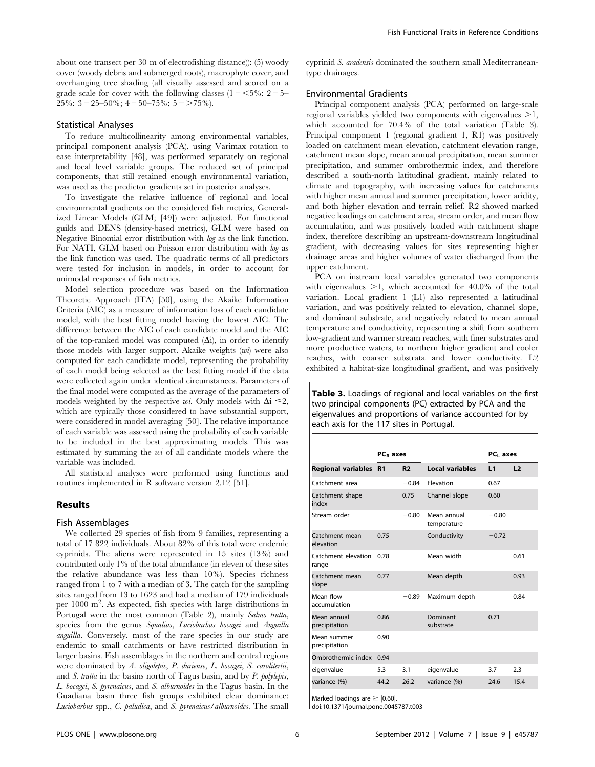about one transect per 30 m of electrofishing distance)); (5) woody cover (woody debris and submerged roots), macrophyte cover, and overhanging tree shading (all visually assessed and scored on a grade scale for cover with the following classes  $(1 = 5\%; 2 = 5-$ 25%;  $3 = 25 - 50\%$ ;  $4 = 50 - 75\%$ ;  $5 = 75\%$ ).

#### Statistical Analyses

To reduce multicollinearity among environmental variables, principal component analysis (PCA), using Varimax rotation to ease interpretability [48], was performed separately on regional and local level variable groups. The reduced set of principal components, that still retained enough environmental variation, was used as the predictor gradients set in posterior analyses.

To investigate the relative influence of regional and local environmental gradients on the considered fish metrics, Generalized Linear Models (GLM; [49]) were adjusted. For functional guilds and DENS (density-based metrics), GLM were based on Negative Binomial error distribution with log as the link function. For NATI, GLM based on Poisson error distribution with log as the link function was used. The quadratic terms of all predictors were tested for inclusion in models, in order to account for unimodal responses of fish metrics.

Model selection procedure was based on the Information Theoretic Approach (ITA) [50], using the Akaike Information Criteria (AIC) as a measure of information loss of each candidate model, with the best fitting model having the lowest AIC. The difference between the AIC of each candidate model and the AIC of the top-ranked model was computed  $(\Delta i)$ , in order to identify those models with larger support. Akaike weights (wi) were also computed for each candidate model, representing the probability of each model being selected as the best fitting model if the data were collected again under identical circumstances. Parameters of the final model were computed as the average of the parameters of models weighted by the respective wi. Only models with  $\Delta i \leq 2$ , which are typically those considered to have substantial support, were considered in model averaging [50]. The relative importance of each variable was assessed using the probability of each variable to be included in the best approximating models. This was estimated by summing the wi of all candidate models where the variable was included.

All statistical analyses were performed using functions and routines implemented in R software version 2.12 [51].

#### Results

### Fish Assemblages

We collected 29 species of fish from 9 families, representing a total of 17 822 individuals. About 82% of this total were endemic cyprinids. The aliens were represented in 15 sites (13%) and contributed only 1% of the total abundance (in eleven of these sites the relative abundance was less than 10%). Species richness ranged from 1 to 7 with a median of 3. The catch for the sampling sites ranged from 13 to 1623 and had a median of 179 individuals per 1000 m<sup>2</sup>. As expected, fish species with large distributions in Portugal were the most common (Table 2), mainly *Salmo trutta*, species from the genus Squalius, Luciobarbus bocagei and Anguilla anguilla. Conversely, most of the rare species in our study are endemic to small catchments or have restricted distribution in larger basins. Fish assemblages in the northern and central regions were dominated by A. oligolepis, P. duriense, L. bocagei, S. carolitertii, and S. trutta in the basins north of Tagus basin, and by P. polylepis, L. bocagei, S. pyrenaicus, and S. alburnoides in the Tagus basin. In the Guadiana basin three fish groups exhibited clear dominance: Luciobarbus spp., C. paludica, and S. pyrenaicus/alburnoides. The small cyprinid S. aradensis dominated the southern small Mediterraneantype drainages.

### Environmental Gradients

Principal component analysis (PCA) performed on large-scale regional variables yielded two components with eigenvalues  $>1$ , which accounted for 70.4% of the total variation (Table 3). Principal component 1 (regional gradient 1, R1) was positively loaded on catchment mean elevation, catchment elevation range, catchment mean slope, mean annual precipitation, mean summer precipitation, and summer ombrothermic index, and therefore described a south-north latitudinal gradient, mainly related to climate and topography, with increasing values for catchments with higher mean annual and summer precipitation, lower aridity, and both higher elevation and terrain relief. R2 showed marked negative loadings on catchment area, stream order, and mean flow accumulation, and was positively loaded with catchment shape index, therefore describing an upstream-downstream longitudinal gradient, with decreasing values for sites representing higher drainage areas and higher volumes of water discharged from the upper catchment.

PCA on instream local variables generated two components with eigenvalues  $>1$ , which accounted for 40.0% of the total variation. Local gradient 1 (L1) also represented a latitudinal variation, and was positively related to elevation, channel slope, and dominant substrate, and negatively related to mean annual temperature and conductivity, representing a shift from southern low-gradient and warmer stream reaches, with finer substrates and more productive waters, to northern higher gradient and cooler reaches, with coarser substrata and lower conductivity. L2 exhibited a habitat-size longitudinal gradient, and was positively

Table 3. Loadings of regional and local variables on the first two principal components (PC) extracted by PCA and the eigenvalues and proportions of variance accounted for by each axis for the 117 sites in Portugal.

|                              | $PCR$ axes |                |                            | PC <sub>1</sub> axes |                |
|------------------------------|------------|----------------|----------------------------|----------------------|----------------|
| <b>Regional variables R1</b> |            | R <sub>2</sub> | Local variables            | L1                   | L <sub>2</sub> |
| Catchment area               |            | $-0.84$        | Flevation                  | 0.67                 |                |
| Catchment shape<br>index     |            | 0.75           | Channel slope              | 0.60                 |                |
| Stream order                 |            | $-0.80$        | Mean annual<br>temperature | $-0.80$              |                |
| Catchment mean<br>elevation  | 0.75       |                | Conductivity               | $-0.72$              |                |
| Catchment elevation<br>range | 0.78       |                | Mean width                 |                      | 0.61           |
| Catchment mean<br>slope      | 0.77       |                | Mean depth                 |                      | 0.93           |
| Mean flow<br>accumulation    |            | $-0.89$        | Maximum depth              |                      | 0.84           |
| Mean annual<br>precipitation | 0.86       |                | Dominant<br>substrate      | 0.71                 |                |
| Mean summer<br>precipitation | 0.90       |                |                            |                      |                |
| Ombrothermic index           | 0.94       |                |                            |                      |                |
| eigenvalue                   | 5.3        | 3.1            | eigenvalue                 | 3.7                  | 2.3            |
| variance (%)                 | 44.2       | 26.2           | variance (%)               | 24.6                 | 15.4           |

Marked loadings are  $\geq$   $|0.60|$ .

doi:10.1371/journal.pone.0045787.t003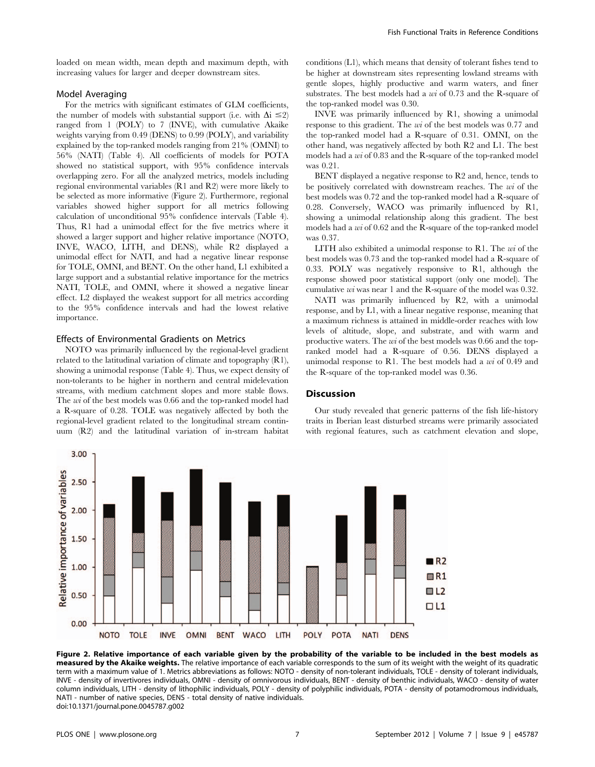loaded on mean width, mean depth and maximum depth, with increasing values for larger and deeper downstream sites.

# Model Averaging

For the metrics with significant estimates of GLM coefficients, the number of models with substantial support (i.e. with  $\Delta i \leq 2$ ) ranged from 1 (POLY) to 7 (INVE), with cumulative Akaike weights varying from 0.49 (DENS) to 0.99 (POLY), and variability explained by the top-ranked models ranging from 21% (OMNI) to 56% (NATI) (Table 4). All coefficients of models for POTA showed no statistical support, with 95% confidence intervals overlapping zero. For all the analyzed metrics, models including regional environmental variables (R1 and R2) were more likely to be selected as more informative (Figure 2). Furthermore, regional variables showed higher support for all metrics following calculation of unconditional 95% confidence intervals (Table 4). Thus, R1 had a unimodal effect for the five metrics where it showed a larger support and higher relative importance (NOTO, INVE, WACO, LITH, and DENS), while R2 displayed a unimodal effect for NATI, and had a negative linear response for TOLE, OMNI, and BENT. On the other hand, L1 exhibited a large support and a substantial relative importance for the metrics NATI, TOLE, and OMNI, where it showed a negative linear effect. L2 displayed the weakest support for all metrics according to the 95% confidence intervals and had the lowest relative importance.

#### Effects of Environmental Gradients on Metrics

NOTO was primarily influenced by the regional-level gradient related to the latitudinal variation of climate and topography (R1), showing a unimodal response (Table 4). Thus, we expect density of non-tolerants to be higher in northern and central midelevation streams, with medium catchment slopes and more stable flows. The wi of the best models was 0.66 and the top-ranked model had a R-square of 0.28. TOLE was negatively affected by both the regional-level gradient related to the longitudinal stream continuum (R2) and the latitudinal variation of in-stream habitat

conditions (L1), which means that density of tolerant fishes tend to be higher at downstream sites representing lowland streams with gentle slopes, highly productive and warm waters, and finer substrates. The best models had a wi of 0.73 and the R-square of the top-ranked model was 0.30.

INVE was primarily influenced by R1, showing a unimodal response to this gradient. The wi of the best models was 0.77 and the top-ranked model had a R-square of 0.31. OMNI, on the other hand, was negatively affected by both R2 and L1. The best models had a wi of 0.83 and the R-square of the top-ranked model was 0.21.

BENT displayed a negative response to R2 and, hence, tends to be positively correlated with downstream reaches. The wi of the best models was 0.72 and the top-ranked model had a R-square of 0.28. Conversely, WACO was primarily influenced by R1, showing a unimodal relationship along this gradient. The best models had a wi of 0.62 and the R-square of the top-ranked model was 0.37.

LITH also exhibited a unimodal response to R1. The wi of the best models was 0.73 and the top-ranked model had a R-square of 0.33. POLY was negatively responsive to R1, although the response showed poor statistical support (only one model). The cumulative wi was near 1 and the R-square of the model was 0.32.

NATI was primarily influenced by R2, with a unimodal response, and by L1, with a linear negative response, meaning that a maximum richness is attained in middle-order reaches with low levels of altitude, slope, and substrate, and with warm and productive waters. The wi of the best models was 0.66 and the topranked model had a R-square of 0.56. DENS displayed a unimodal response to R1. The best models had a wi of 0.49 and the R-square of the top-ranked model was 0.36.

# **Discussion**

Our study revealed that generic patterns of the fish life-history traits in Iberian least disturbed streams were primarily associated with regional features, such as catchment elevation and slope,



Figure 2. Relative importance of each variable given by the probability of the variable to be included in the best models as **measured by the Akaike weights.** The relative importance of each variable corresponds to the sum of its weight with the weight of its quadratic term with a maximum value of 1. Metrics abbreviations as follows: NOTO - density of non-tolerant individuals, TOLE - density of tolerant individuals, INVE - density of invertivores individuals, OMNI - density of omnivorous individuals, BENT - density of benthic individuals, WACO - density of water column individuals, LITH - density of lithophilic individuals, POLY - density of polyphilic individuals, POTA - density of potamodromous individuals, NATI - number of native species, DENS - total density of native individuals. doi:10.1371/journal.pone.0045787.g002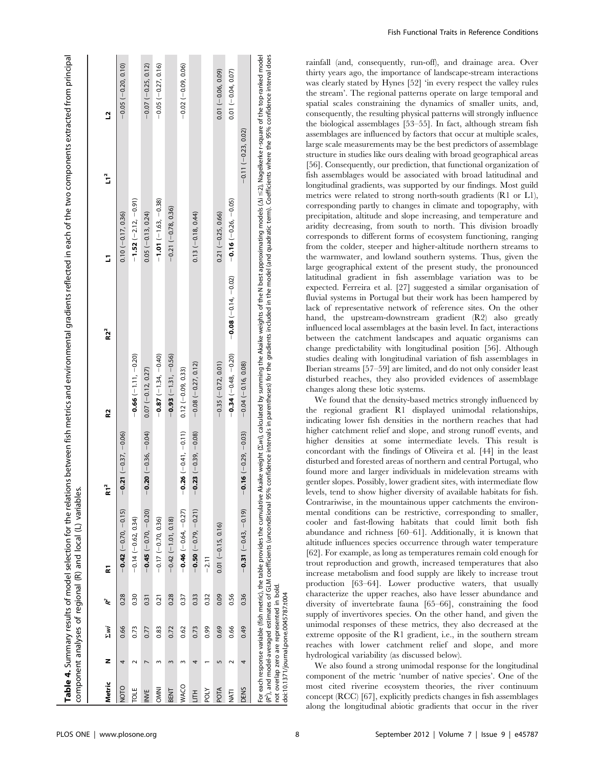| Metric      | z      | Σwi                                                                                | ř    | ធ                                                                                                                                                                                                                                                                                                                       | 귵                          | 53                                                                                                                                                     | $R^2$              | S                        | <u>้ำ</u>            | 2                         |
|-------------|--------|------------------------------------------------------------------------------------|------|-------------------------------------------------------------------------------------------------------------------------------------------------------------------------------------------------------------------------------------------------------------------------------------------------------------------------|----------------------------|--------------------------------------------------------------------------------------------------------------------------------------------------------|--------------------|--------------------------|----------------------|---------------------------|
| DLON        | 4      | 0.66                                                                               | 0.28 | $-0.42$ $(-0.70, -0.15)$                                                                                                                                                                                                                                                                                                | $0.21 (-0.37, -0.06)$<br>ī |                                                                                                                                                        |                    | $0.10 (-0.17, 0.36)$     |                      | $-0.05$ ( $-0.20$ , 0.10) |
| TOLE        | $\sim$ | 0.73                                                                               | 0.30 | $-0.14 (-0.62, 0.34)$                                                                                                                                                                                                                                                                                                   |                            | $-0.66(-1.11,-0.20)$                                                                                                                                   |                    | $-1.52$ $(-2.12, -0.91)$ |                      |                           |
| <b>INVE</b> |        | 0.77                                                                               | 0.31 | $-0.45(-0.70,-0.20)$                                                                                                                                                                                                                                                                                                    | $0.20$ (-0.36, -0.04)<br>ĭ | $0.07 (-0.12, 0.27)$                                                                                                                                   |                    | $0.05 (-0.13, 0.24)$     |                      | $-0.07$ ( $-0.25$ , 0.12) |
| <b>DMN</b>  |        | 0.83                                                                               | 0.21 | $-0.17(-0.70, 0.36)$                                                                                                                                                                                                                                                                                                    |                            | $-0.87(-1.34,-0.40)$                                                                                                                                   |                    | $-1.01(-1.63, -0.38)$    |                      | $-0.05(-0.27, 0.16)$      |
| BENT        | 3      | 0.72                                                                               | 0.28 | $-0.42(-1.01, 0.18)$                                                                                                                                                                                                                                                                                                    |                            | $-0.93(-1.31, -0.56)$                                                                                                                                  |                    | $-0.21 (-0.78, 0.36)$    |                      |                           |
| WACO        |        | 0.62                                                                               | 0.37 | $-0.46$ $(-0.64, -0.27)$                                                                                                                                                                                                                                                                                                | $-0.26(-0.41,-0.11)$       | $0.12 (-0.09, 0.33)$                                                                                                                                   |                    |                          |                      | $-0.02(-0.09, 0.06)$      |
| 青           | 4      | 0.73                                                                               | 0.33 | $-0.50(-0.79, -0.21)$                                                                                                                                                                                                                                                                                                   | $0.23 (-0.39, -0.08)$<br>ĭ | $-0.08$ $(-0.27, 0.12)$                                                                                                                                |                    | $0.13(-0.18, 0.44)$      |                      |                           |
| <b>POLY</b> |        | 0.99                                                                               | 0.32 | $-2.11$                                                                                                                                                                                                                                                                                                                 |                            |                                                                                                                                                        |                    |                          |                      |                           |
| POTA        | 5      | 0.69                                                                               | 0.09 | $0.01 (-0.15, 0.16)$                                                                                                                                                                                                                                                                                                    |                            | $-0.35$ ( $-0.72$ , 0.01)                                                                                                                              |                    | $0.21 (-0.25, 0.66)$     |                      | $0.01 (-0.06, 0.09)$      |
| <b>TATI</b> | $\sim$ | 0.66                                                                               | 0.56 |                                                                                                                                                                                                                                                                                                                         |                            | $-0.34(-0.48,-0.20)$                                                                                                                                   | $-0.08(-14, 0.02)$ | $-0.16$ $(-0.26, -0.05)$ |                      | $0.01 (-0.04, 0.07)$      |
| <b>DENS</b> | 4      | 0.49                                                                               | 0.36 | $-0.31(-0.43,-0.19)$                                                                                                                                                                                                                                                                                                    | $0.16$ (-0.29, -0.03)<br>ĭ | $-0.04(-0.16, 0.08)$                                                                                                                                   |                    |                          | $-0.11(-0.23, 0.02)$ |                           |
|             |        | not overlap zero are represented in bold.<br>doi:10.1371/journal.pone.0045787.t004 |      | For each response variable (fish metric), the table provides the cumulative Akaike weight; CΣw), calculated by summing the Akaike weights of the N best approximating models (Δi ≤2), Nagelkerke r-square of the top-ranked m<br>(R <sup>2</sup> ), and model-averaged estimates of GLM coefficients (unconditional 95% |                            | confidence intervals in parentheses) for the gradients included in the model (and quadratic term). Coefficients where the 95% confidence interval does |                    |                          |                      |                           |

thirty years ago, the importance of landscape-stream interactions was clearly stated by Hynes [52] 'in every respect the valley rules the stream'. The regional patterns operate on large temporal and spatial scales constraining the dynamics of smaller units, and, consequently, the resulting physical patterns will strongly influence the biological assemblages [53–55]. In fact, although stream fish assemblages are influenced by factors that occur at multiple scales, large scale measurements may be the best predictors of assemblage structure in studies like ours dealing with broad geographical areas [56]. Consequently, our prediction, that functional organization of fish assemblages would be associated with broad latitudinal and longitudinal gradients, was supported by our findings. Most guild metrics were related to strong north-south gradients (R1 or L1), corresponding partly to changes in climate and topography, with precipitation, altitude and slope increasing, and temperature and aridity decreasing, from south to north. This division broadly corresponds to different forms of ecosystem functioning, ranging from the colder, steeper and higher-altitude northern streams to the warmwater, and lowland southern systems. Thus, given the large geographical extent of the present study, the pronounced latitudinal gradient in fish assemblage variation was to be expected. Ferreira et al. [27] suggested a similar organisation of fluvial systems in Portugal but their work has been hampered by lack of representative network of reference sites. On the other hand, the upstream-downstream gradient (R2) also greatly influenced local assemblages at the basin level. In fact, interactions between the catchment landscapes and aquatic organisms can change predictability with longitudinal position [56]. Although studies dealing with longitudinal variation of fish assemblages in Iberian streams [57–59] are limited, and do not only consider least disturbed reaches, they also provided evidences of assemblage changes along these lotic systems.

rainfall (and, consequently, run-off), and drainage area. Over

We found that the density-based metrics strongly influenced by the regional gradient R1 displayed unimodal relationships, indicating lower fish densities in the northern reaches that had higher catchment relief and slope, and strong runoff events, and higher densities at some intermediate levels. This result is concordant with the findings of Oliveira et al. [44] in the least disturbed and forested areas of northern and central Portugal, who found more and larger individuals in midelevation streams with gentler slopes. Possibly, lower gradient sites, with intermediate flow levels, tend to show higher diversity of available habitats for fish. Contrariwise, in the mountainous upper catchments the environmental conditions can be restrictive, corresponding to smaller, cooler and fast-flowing habitats that could limit both fish abundance and richness [60–61]. Additionally, it is known that altitude influences species occurrence through water temperature [62]. For example, as long as temperatures remain cold enough for trout reproduction and growth, increased temperatures that also increase metabolism and food supply are likely to increase trout production [63–64]. Lower productive waters, that usually characterize the upper reaches, also have lesser abundance and diversity of invertebrate fauna [65–66], constraining the food supply of invertivores species. On the other hand, and given the unimodal responses of these metrics, they also decreased at the extreme opposite of the R1 gradient, i.e., in the southern stream reaches with lower catchment relief and slope, and more hydrological variability (as discussed below).

We also found a strong unimodal response for the longitudinal component of the metric 'number of native species'. One of the most cited riverine ecosystem theories, the river continuum concept (RCC) [67], explicitly predicts changes in fish assemblages along the longitudinal abiotic gradients that occur in the river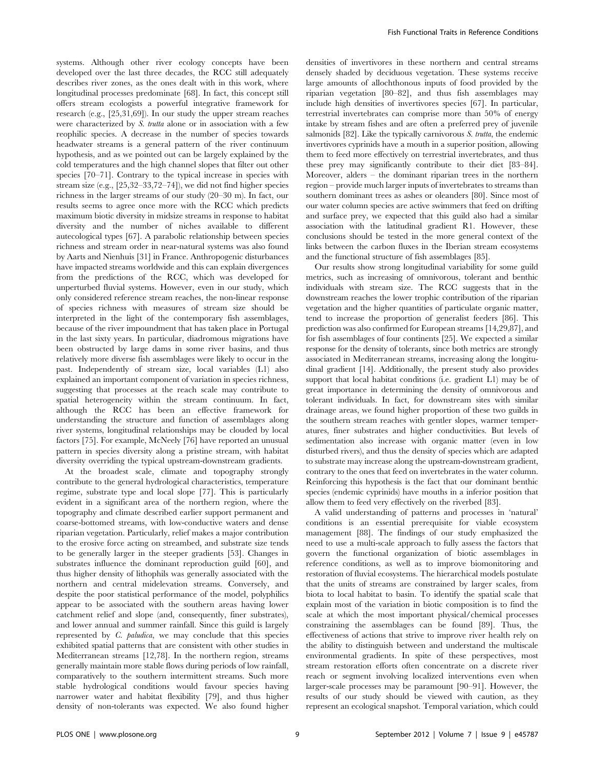systems. Although other river ecology concepts have been developed over the last three decades, the RCC still adequately describes river zones, as the ones dealt with in this work, where longitudinal processes predominate [68]. In fact, this concept still offers stream ecologists a powerful integrative framework for research (e.g., [25,31,69]). In our study the upper stream reaches were characterized by S. trutta alone or in association with a few reophilic species. A decrease in the number of species towards headwater streams is a general pattern of the river continuum hypothesis, and as we pointed out can be largely explained by the cold temperatures and the high channel slopes that filter out other species [70–71]. Contrary to the typical increase in species with stream size (e.g., [25,32–33,72–74]), we did not find higher species richness in the larger streams of our study (20–30 m). In fact, our results seems to agree once more with the RCC which predicts maximum biotic diversity in midsize streams in response to habitat diversity and the number of niches available to different autecological types [67]. A parabolic relationship between species richness and stream order in near-natural systems was also found by Aarts and Nienhuis [31] in France. Anthropogenic disturbances have impacted streams worldwide and this can explain divergences from the predictions of the RCC, which was developed for unperturbed fluvial systems. However, even in our study, which only considered reference stream reaches, the non-linear response of species richness with measures of stream size should be interpreted in the light of the contemporary fish assemblages, because of the river impoundment that has taken place in Portugal in the last sixty years. In particular, diadromous migrations have been obstructed by large dams in some river basins, and thus relatively more diverse fish assemblages were likely to occur in the past. Independently of stream size, local variables (L1) also explained an important component of variation in species richness, suggesting that processes at the reach scale may contribute to spatial heterogeneity within the stream continuum. In fact, although the RCC has been an effective framework for understanding the structure and function of assemblages along river systems, longitudinal relationships may be clouded by local factors [75]. For example, McNeely [76] have reported an unusual pattern in species diversity along a pristine stream, with habitat diversity overriding the typical upstream-downstream gradients.

At the broadest scale, climate and topography strongly contribute to the general hydrological characteristics, temperature regime, substrate type and local slope [77]. This is particularly evident in a significant area of the northern region, where the topography and climate described earlier support permanent and coarse-bottomed streams, with low-conductive waters and dense riparian vegetation. Particularly, relief makes a major contribution to the erosive force acting on streambed, and substrate size tends to be generally larger in the steeper gradients [53]. Changes in substrates influence the dominant reproduction guild [60], and thus higher density of lithophils was generally associated with the northern and central midelevation streams. Conversely, and despite the poor statistical performance of the model, polyphilics appear to be associated with the southern areas having lower catchment relief and slope (and, consequently, finer substrates), and lower annual and summer rainfall. Since this guild is largely represented by C. paludica, we may conclude that this species exhibited spatial patterns that are consistent with other studies in Mediterranean streams [12,78]. In the northern region, streams generally maintain more stable flows during periods of low rainfall, comparatively to the southern intermittent streams. Such more stable hydrological conditions would favour species having narrower water and habitat flexibility [79], and thus higher density of non-tolerants was expected. We also found higher

densities of invertivores in these northern and central streams densely shaded by deciduous vegetation. These systems receive large amounts of allochthonous inputs of food provided by the riparian vegetation [80–82], and thus fish assemblages may include high densities of invertivores species [67]. In particular, terrestrial invertebrates can comprise more than 50% of energy intake by stream fishes and are often a preferred prey of juvenile salmonids  $[82]$ . Like the typically carnivorous S. trutta, the endemic invertivores cyprinids have a mouth in a superior position, allowing them to feed more effectively on terrestrial invertebrates, and thus these prey may significantly contribute to their diet [83–84]. Moreover, alders – the dominant riparian trees in the northern region – provide much larger inputs of invertebrates to streams than southern dominant trees as ashes or oleanders [80]. Since most of our water column species are active swimmers that feed on drifting and surface prey, we expected that this guild also had a similar association with the latitudinal gradient R1. However, these conclusions should be tested in the more general context of the links between the carbon fluxes in the Iberian stream ecosystems and the functional structure of fish assemblages [85].

Our results show strong longitudinal variability for some guild metrics, such as increasing of omnivorous, tolerant and benthic individuals with stream size. The RCC suggests that in the downstream reaches the lower trophic contribution of the riparian vegetation and the higher quantities of particulate organic matter, tend to increase the proportion of generalist feeders [86]. This prediction was also confirmed for European streams [14,29,87], and for fish assemblages of four continents [25]. We expected a similar response for the density of tolerants, since both metrics are strongly associated in Mediterranean streams, increasing along the longitudinal gradient [14]. Additionally, the present study also provides support that local habitat conditions (i.e. gradient L1) may be of great importance in determining the density of omnivorous and tolerant individuals. In fact, for downstream sites with similar drainage areas, we found higher proportion of these two guilds in the southern stream reaches with gentler slopes, warmer temperatures, finer substrates and higher conductivities. But levels of sedimentation also increase with organic matter (even in low disturbed rivers), and thus the density of species which are adapted to substrate may increase along the upstream-downstream gradient, contrary to the ones that feed on invertebrates in the water column. Reinforcing this hypothesis is the fact that our dominant benthic species (endemic cyprinids) have mouths in a inferior position that allow them to feed very effectively on the riverbed [83].

A valid understanding of patterns and processes in 'natural' conditions is an essential prerequisite for viable ecosystem management [88]. The findings of our study emphasized the need to use a multi-scale approach to fully assess the factors that govern the functional organization of biotic assemblages in reference conditions, as well as to improve biomonitoring and restoration of fluvial ecosystems. The hierarchical models postulate that the units of streams are constrained by larger scales, from biota to local habitat to basin. To identify the spatial scale that explain most of the variation in biotic composition is to find the scale at which the most important physical/chemical processes constraining the assemblages can be found [89]. Thus, the effectiveness of actions that strive to improve river health rely on the ability to distinguish between and understand the multiscale environmental gradients. In spite of these perspectives, most stream restoration efforts often concentrate on a discrete river reach or segment involving localized interventions even when larger-scale processes may be paramount [90–91]. However, the results of our study should be viewed with caution, as they represent an ecological snapshot. Temporal variation, which could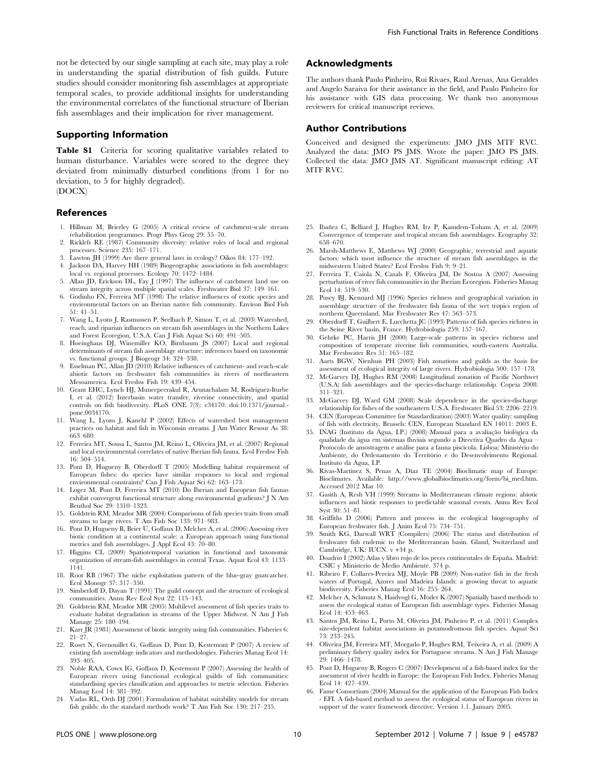not be detected by our single sampling at each site, may play a role in understanding the spatial distribution of fish guilds. Future studies should consider monitoring fish assemblages at appropriate temporal scales, to provide additional insights for understanding the environmental correlates of the functional structure of Iberian fish assemblages and their implication for river management.

#### Supporting Information

Table S1 Criteria for scoring qualitative variables related to human disturbance. Variables were scored to the degree they deviated from minimally disturbed conditions (from 1 for no deviation, to 5 for highly degraded).

(DOCX)

# References

- 1. Hillman M, Brierley G (2005) A critical review of catchment-scale stream rehabilitation programmes. Progr Phys Geog 29: 55–70.
- 2. Ricklefs RE (1987) Community diversity: relative roles of local and regional processes. Science 235: 167–171.
- 3. Lawton JH (1999) Are there general laws in ecology? Oikos 84: 177–192.
- 4. Jackson DA, Harvey HH (1989) Biogeographic associations in fish assemblages:
- local vs. regional processes. Ecology 70: 1472–1484. 5. Allan JD, Erickson DL, Fay J (1997) The influence of catchment land use on stream integrity across multiple spatial scales. Freshwater Biol 37: 149–161.
- 6. Godinho FN, Ferreira MT (1998) The relative influences of exotic species and environmental factors on an Iberian native fish community. Environ Biol Fish 51: 41–51.
- 7. Wang L, Lyons J, Rasmussen P, Seelbach P, Simon T, et al. (2003) Watershed, reach, and riparian influences on stream fish assemblages in the Northern Lakes and Forest Ecoregion, U.S.A. Can J Fish Aquat Sci 60: 491–505.
- 8. Hoeinghaus DJ, Winemiller KO, Birnbaum JS (2007) Local and regional determinants of stream fish assemblage structure: inferences based on taxonomic vs. functional groups. J Biogeogr 34: 324–338.
- 9. Esselman PC, Allan JD (2010) Relative influences of catchment- and reach-scale abiotic factors on freshwater fish communities in rivers of northeastern Mesoamerica. Ecol Freshw Fish 19: 439–454.
- 10. Grant EHC, Lynch HJ, Muneepeerakul R, Arunachalam M, Rodríguez-Iturbe I, et al. (2012) Interbasin water transfer, riverine connectivity, and spatial controls on fish biodiversity. PLoS ONE 7(3): e34170. doi:10.1371/journal. pone.0034170.
- 11. Wang L, Lyons J, Kanehl P (2002) Effects of watershed best management practices on habitat and fish in Wisconsin streams. J Am Water Resour As 38: 663–680.
- 12. Ferreira MT, Sousa L, Santos JM, Reino L, Oliveira JM, et al. (2007) Regional and local environmental correlates of native Iberian fish fauna. Ecol Freshw Fish 16: 504–514.
- 13. Pont D, Hugueny B, Oberdorff T (2005) Modelling habitat requirement of European fishes: do species have similar responses to local and regional environmental constraints? Can J Fish Aquat Sci 62: 163–173.
- 14. Logez M, Pont D, Ferreira MT (2010) Do Iberian and European fish faunas exhibit convergent functional structure along environmental gradients? J N Am Benthol Soc 29: 1310–1323.
- 15. Goldstein RM, Meador MR (2004) Comparisons of fish species traits from small streams to large rivers. T Am Fish Soc 133: 971–983.
- 16. Pont D, Hugueny B, Beier U, Goffaux D, Melcher A, et al. (2006) Assessing river biotic condition at a continental scale: a European approach using functional metrics and fish assemblages. J Appl Ecol 43: 70–80.
- 17. Higgins CL (2009) Spatiotemporal variation in functional and taxonomic organization of stream-fish assemblages in central Texas. Aquat Ecol 43: 1133– 1141.
- 18. Root RB (1967) The niche exploitation pattern of the blue-gray gnatcatcher. Ecol Monogr 37: 317–350.
- 19. Simberloff D, Dayan T (1991) The guild concept and the structure of ecological communities. Annu Rev Ecol Syst 22: 115–143.
- 20. Goldstein RM, Meador MR (2005) Multilevel assessment of fish species traits to evaluate habitat degradation in streams of the Upper Midwest. N Am J Fish Manage 25: 180–194.
- 21. Karr JR (1981) Assessment of biotic integrity using fish communities. Fisheries 6: 21–27.
- 22. Roset N, Grenouillet G, Goffaux D, Pont D, Kestemont P (2007) A review of existing fish assemblage indicators and methodologies. Fisheries Manag Ecol 14: 393–405.
- 23. Noble RAA, Cowx IG, Goffaux D, Kestemont P (2007) Assessing the health of European rivers using functional ecological guilds of fish communities: standardising species classification and approaches to metric selection. Fisheries Manag Ecol 14: 381–392.
- 24. Vadas RL, Orth DJ (2001) Formulation of habitat suitability models for stream fish guilds: do the standard methods work? T Am Fish Soc 130: 217–235.

### Acknowledgments

The authors thank Paulo Pinheiro, Rui Rivaes, Raul Arenas, Ana Geraldes and Angelo Saraiva for their assistance in the field, and Paulo Pinheiro for his assistance with GIS data processing. We thank two anonymous reviewers for critical manuscript reviews.

#### Author Contributions

Conceived and designed the experiments: JMO JMS MTF RVC. Analyzed the data: JMO PS JMS. Wrote the paper: JMO PS JMS. Collected the data: JMO JMS AT. Significant manuscript editing: AT MTF RVC.

- 25. Ibañez C, Belliard J, Hughes RM, Irz P, Kamdem-Toham A, et al. (2009) Convergence of temperate and tropical stream fish assemblages. Ecography 32: 658–670.
- 26. Marsh-Matthews E, Matthews WJ (2000) Geographic, terrestrial and aquatic factors: which most influence the structure of stream fish assemblages in the midwestern United States? Ecol Freshw Fish 9: 9–21.
- 27. Ferreira T, Caiola N, Casals F, Oliveira JM, De Sostoa A (2007) Assessing perturbation of river fish communities in the Iberian Ecoregion. Fisheries Manag Ecol 14: 519–530.
- 28. Pusey BJ, Kennard MJ (1996) Species richness and geographical variation in assemblage structure of the freshwater fish fauna of the wet tropics region of northern Queensland. Mar Freshwater Res 47: 563–573.
- 29. Oberdorff T, Guilbert E, Lucchetta JC (1993) Patterns of fish species richness in the Seine River basin, France. Hydrobiologia 259: 157–167.
- 30. Gehrke PC, Harris JH (2000) Large-scale patterns in species richness and composition of temperate riverine fish communities, south-eastern Australia. Mar Freshwater Res 51: 165–182.
- 31. Aarts BGW, Nienhuis PH (2003) Fish zonations and guilds as the basis for assessment of ecological integrity of large rivers. Hydrobiologia 500: 157–178.
- 32. McGarvey DJ, Hughes RM (2008) Longitudinal zonation of Pacific Northwet (U.S.A) fish assemblages and the species-discharge relationship. Copeia 2008: 311–321.
- 33. McGarvey DJ, Ward GM (2008) Scale dependence in the species-discharge relationship for fishes of the southeastern U.S.A. Freshwater Biol 53: 2206–2219.
- 34. CEN (European Committee for Standardization) (2003) Water quality: sampling of fish with electricity. Brussels: CEN, European Standard EN 14011: 2003 E.
- 35. INAG (Instituto da Água, I.P.) (2008) Manual para a avaliação biológica da qualidade da água em sistemas fluviais segundo a Directiva Quadro da Água -Protocolo de amostragem e análise para a fauna piscícola. Lisboa: Ministério do Ambiente, do Ordenamento do Território e do Desenvolvimento Regional. Instituto da Água, I.P.
- 36. Rivas-Martínez S, Penas A, Díaz TE (2004) Bioclimatic map of Europe: Bioclimates. Available: http://www.globalbioclimatics.org/form/bi\_med.htm. Accessed 2012 Mar 10.
- 37. Gasith A, Resh VH (1999) Streams in Mediterranean climate regions: abiotic influences and biotic responses to predictable seasonal events. Annu Rev Ecol Syst 30: 51–81.
- 38. Griffiths D (2006) Pattern and process in the ecological biogeography of European freshwater fish. J Anim Ecol 75: 734–751.
- 39. Smith KG, Darwall WRT (Compilers) (2006) The status and distribution of freshwater fish endemic to the Mediterranean basin. Gland, Switzerland and Cambridge, UK: IUCN. v +34 p.
- 40. Doadrio I (2002) Atlas y libro rojo de los peces continentales de España. Madrid: CSIC y Ministerio de Medio Ambiente. 374 p.
- 41. Ribeiro F, Collares-Pereira MJ, Moyle PB (2009) Non-native fish in the fresh waters of Portugal, Azores and Madeira Islands: a growing threat to aquatic biodiversity. Fisheries Manag Ecol 16: 255–264.
- 42. Melcher A, Schmutz S, Haidvogl G, Moder K (2007) Spatially based methods to assess the ecological status of European fish assemblage types. Fisheries Manag Ecol 14: 453–463.
- 43. Santos JM, Reino L, Porto M, Oliveira JM, Pinheiro P, et al. (2011) Complex size-dependent habitat associations in potamodromous fish species. Aquat Sci 73: 233–245.
- 44. Oliveira JM, Ferreira MT, Morgado P, Hughes RM, Teixeira A, et al. (2009) A preliminary fishery quality index for Portuguese streams. N Am J Fish Manage 29: 1466–1478.
- 45. Pont D, Hugueny B, Rogers C (2007) Development of a fish-based index for the assessment of river health in Europe: the European Fish Index. Fisheries Manag Ecol 14: 427–439.
- 46. Fame Consortium (2004) Manual for the application of the European Fish Index - EFI. A fish-based method to assess the ecological status of European rivers in support of the water framework directive. Version 1.1. January 2005.